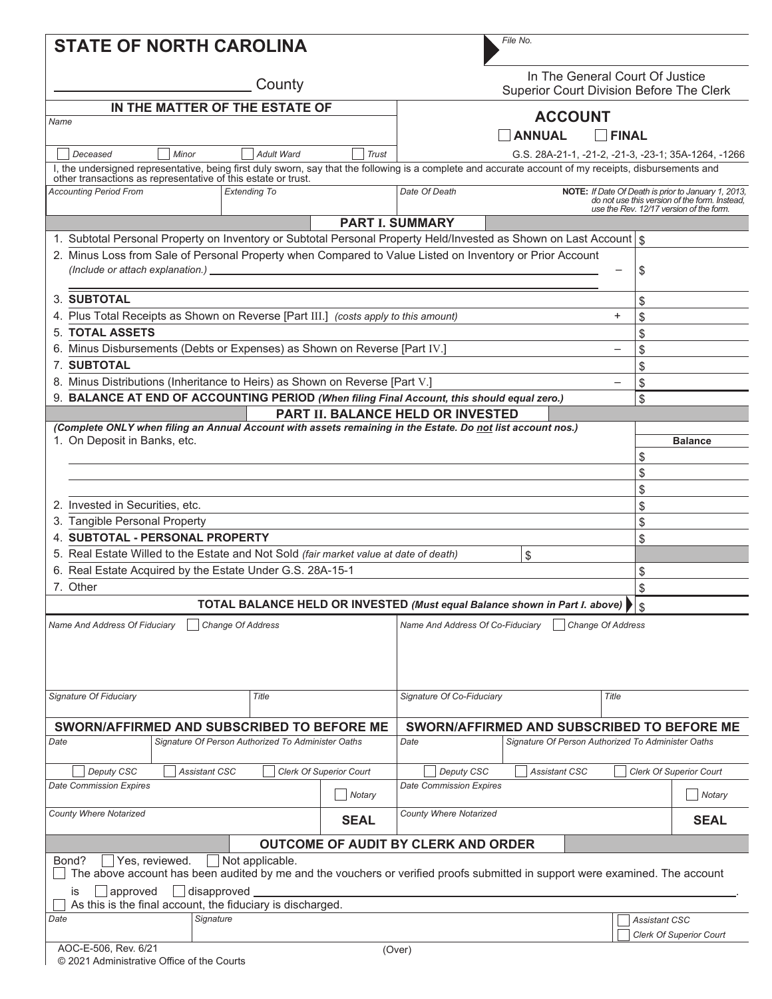| <b>STATE OF NORTH CAROLINA</b>                                                                                                                                                                                          | File No.                                                                                                                                                         |  |  |  |  |
|-------------------------------------------------------------------------------------------------------------------------------------------------------------------------------------------------------------------------|------------------------------------------------------------------------------------------------------------------------------------------------------------------|--|--|--|--|
| County                                                                                                                                                                                                                  | In The General Court Of Justice<br>Superior Court Division Before The Clerk                                                                                      |  |  |  |  |
| IN THE MATTER OF THE ESTATE OF                                                                                                                                                                                          |                                                                                                                                                                  |  |  |  |  |
| Name                                                                                                                                                                                                                    | <b>ACCOUNT</b>                                                                                                                                                   |  |  |  |  |
|                                                                                                                                                                                                                         | <b>ANNUAL</b><br><b>FINAL</b>                                                                                                                                    |  |  |  |  |
| Adult Ward<br><b>Trust</b><br>Deceased<br>Minor                                                                                                                                                                         | G.S. 28A-21-1, -21-2, -21-3, -23-1; 35A-1264, -1266                                                                                                              |  |  |  |  |
| I, the undersigned representative, being first duly sworn, say that the following is a complete and accurate account of my receipts, disbursements and<br>other transactions as representative of this estate or trust. |                                                                                                                                                                  |  |  |  |  |
| <b>Accounting Period From</b><br><b>Extending To</b>                                                                                                                                                                    | Date Of Death<br>NOTE: If Date Of Death is prior to January 1, 2013,<br>do not use this version of the form. Instead,<br>use the Rev. 12/17 version of the form. |  |  |  |  |
| <b>PART I. SUMMARY</b>                                                                                                                                                                                                  |                                                                                                                                                                  |  |  |  |  |
| 1. Subtotal Personal Property on Inventory or Subtotal Personal Property Held/Invested as Shown on Last Account \\$                                                                                                     |                                                                                                                                                                  |  |  |  |  |
| 2. Minus Loss from Sale of Personal Property when Compared to Value Listed on Inventory or Prior Account                                                                                                                |                                                                                                                                                                  |  |  |  |  |
| (Include or attach explanation.)                                                                                                                                                                                        | \$                                                                                                                                                               |  |  |  |  |
|                                                                                                                                                                                                                         |                                                                                                                                                                  |  |  |  |  |
| 3. SUBTOTAL                                                                                                                                                                                                             | \$                                                                                                                                                               |  |  |  |  |
| 4. Plus Total Receipts as Shown on Reverse [Part III.] (costs apply to this amount)                                                                                                                                     | $+$<br>\$                                                                                                                                                        |  |  |  |  |
| <b>5. TOTAL ASSETS</b>                                                                                                                                                                                                  | \$                                                                                                                                                               |  |  |  |  |
| Minus Disbursements (Debts or Expenses) as Shown on Reverse [Part IV.]<br>6.                                                                                                                                            | \$                                                                                                                                                               |  |  |  |  |
| <b>7. SUBTOTAL</b>                                                                                                                                                                                                      | \$                                                                                                                                                               |  |  |  |  |
| 8. Minus Distributions (Inheritance to Heirs) as Shown on Reverse [Part V.]                                                                                                                                             | \$<br>$\overline{\phantom{0}}$                                                                                                                                   |  |  |  |  |
| 9. BALANCE AT END OF ACCOUNTING PERIOD (When filing Final Account, this should equal zero.)                                                                                                                             | \$                                                                                                                                                               |  |  |  |  |
|                                                                                                                                                                                                                         | PART II. BALANCE HELD OR INVESTED                                                                                                                                |  |  |  |  |
| (Complete ONLY when filing an Annual Account with assets remaining in the Estate. Do not list account nos.)                                                                                                             |                                                                                                                                                                  |  |  |  |  |
| 1. On Deposit in Banks, etc.                                                                                                                                                                                            | <b>Balance</b>                                                                                                                                                   |  |  |  |  |
|                                                                                                                                                                                                                         | \$                                                                                                                                                               |  |  |  |  |
|                                                                                                                                                                                                                         | \$                                                                                                                                                               |  |  |  |  |
|                                                                                                                                                                                                                         | \$                                                                                                                                                               |  |  |  |  |
| 2. Invested in Securities, etc.                                                                                                                                                                                         | \$                                                                                                                                                               |  |  |  |  |
| 3. Tangible Personal Property                                                                                                                                                                                           | \$                                                                                                                                                               |  |  |  |  |
| 4. SUBTOTAL - PERSONAL PROPERTY                                                                                                                                                                                         | \$                                                                                                                                                               |  |  |  |  |
| 5. Real Estate Willed to the Estate and Not Sold <i>(fair market value at date of death)</i>                                                                                                                            | \$                                                                                                                                                               |  |  |  |  |
| 6. Real Estate Acquired by the Estate Under G.S. 28A-15-1                                                                                                                                                               | \$                                                                                                                                                               |  |  |  |  |
| 7. Other                                                                                                                                                                                                                | \$                                                                                                                                                               |  |  |  |  |
|                                                                                                                                                                                                                         | TOTAL BALANCE HELD OR INVESTED (Must equal Balance shown in Part I. above) $  $ $\S$                                                                             |  |  |  |  |
| <b>Change Of Address</b><br>Name And Address Of Co-Fiduciary<br>Change Of Address<br>Name And Address Of Fiduciary                                                                                                      |                                                                                                                                                                  |  |  |  |  |
|                                                                                                                                                                                                                         |                                                                                                                                                                  |  |  |  |  |
|                                                                                                                                                                                                                         |                                                                                                                                                                  |  |  |  |  |
| Signature Of Fiduciary<br>Title                                                                                                                                                                                         | Signature Of Co-Fiduciary<br>Title                                                                                                                               |  |  |  |  |
|                                                                                                                                                                                                                         |                                                                                                                                                                  |  |  |  |  |
| SWORN/AFFIRMED AND SUBSCRIBED TO BEFORE ME                                                                                                                                                                              | SWORN/AFFIRMED AND SUBSCRIBED TO BEFORE ME                                                                                                                       |  |  |  |  |
| Signature Of Person Authorized To Administer Oaths<br>Date                                                                                                                                                              | Signature Of Person Authorized To Administer Oaths<br>Date                                                                                                       |  |  |  |  |
| Deputy CSC<br><b>Clerk Of Superior Court</b><br><b>Assistant CSC</b>                                                                                                                                                    | Deputy CSC<br><b>Clerk Of Superior Court</b><br>Assistant CSC                                                                                                    |  |  |  |  |
| <b>Date Commission Expires</b><br>Notary                                                                                                                                                                                | <b>Date Commission Expires</b><br>Notary                                                                                                                         |  |  |  |  |
| County Where Notarized<br><b>SEAL</b>                                                                                                                                                                                   | <b>County Where Notarized</b><br><b>SEAL</b>                                                                                                                     |  |  |  |  |
| <b>OUTCOME OF AUDIT BY CLERK AND ORDER</b>                                                                                                                                                                              |                                                                                                                                                                  |  |  |  |  |
| Yes, reviewed.<br>Not applicable.<br>Bond?<br>The above account has been audited by me and the vouchers or verified proofs submitted in support were examined. The account                                              |                                                                                                                                                                  |  |  |  |  |
| approved<br>disapproved<br>İS                                                                                                                                                                                           |                                                                                                                                                                  |  |  |  |  |
| As this is the final account, the fiduciary is discharged.                                                                                                                                                              |                                                                                                                                                                  |  |  |  |  |
| Signature<br>Date<br><b>Assistant CSC</b>                                                                                                                                                                               |                                                                                                                                                                  |  |  |  |  |
|                                                                                                                                                                                                                         | <b>Clerk Of Superior Court</b>                                                                                                                                   |  |  |  |  |
| AOC-E-506, Rev. 6/21                                                                                                                                                                                                    | (Over)                                                                                                                                                           |  |  |  |  |